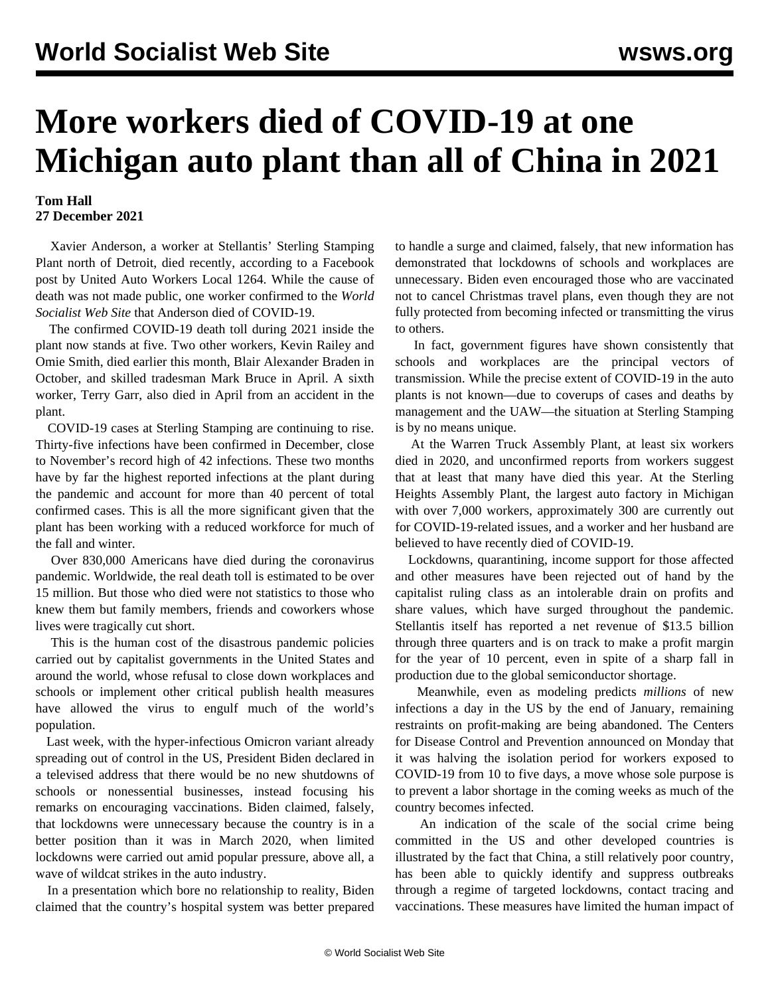## **More workers died of COVID-19 at one Michigan auto plant than all of China in 2021**

## **Tom Hall 27 December 2021**

 Xavier Anderson, a worker at Stellantis' Sterling Stamping Plant north of Detroit, died recently, according to a Facebook post by United Auto Workers Local 1264. While the cause of death was not made public, one worker confirmed to the *World Socialist Web Site* that Anderson died of COVID-19.

 The confirmed COVID-19 death toll during 2021 inside the plant now stands at five. Two other workers, Kevin Railey and Omie Smith, died earlier this month, Blair Alexander Braden in October, and skilled tradesman [Mark Bruce](/en/articles/2021/04/28/ssp-a28.html) in April. A sixth worker, [Terry Garr,](/en/articles/2021/05/14/garr-m14.html) also died in April from an accident in the plant.

 COVID-19 cases at Sterling Stamping are continuing to rise. Thirty-five infections have been confirmed in December, close to November's record high of 42 infections. These two months have by far the highest reported infections at the plant during the pandemic and account for more than 40 percent of total confirmed cases. This is all the more significant given that the plant has been working with a reduced workforce for much of the fall and winter.

 Over 830,000 Americans have died during the coronavirus pandemic. Worldwide, the real death toll is estimated to be over 15 million. But those who died were not statistics to those who knew them but family members, friends and coworkers whose lives were tragically cut short.

 This is the human cost of the disastrous pandemic policies carried out by capitalist governments in the United States and around the world, whose refusal to close down workplaces and schools or implement other critical publish health measures have allowed the virus to engulf much of the world's population.

 Last week, with the hyper-infectious Omicron variant already spreading out of control in the US, President Biden declared in a televised address that there would be no new shutdowns of schools or nonessential businesses, instead focusing his remarks on encouraging vaccinations. Biden claimed, falsely, that lockdowns were unnecessary because the country is in a better position than it was in March 2020, when limited lockdowns were carried out amid popular pressure, above all, a [wave of wildcat strikes in the auto industry](/en/articles/2021/03/09/pers-m09.html).

 In a presentation which bore no relationship to reality, Biden claimed that the country's hospital system was better prepared to handle a surge and claimed, falsely, that new information has demonstrated that lockdowns of schools and workplaces are unnecessary. Biden even encouraged those who are vaccinated not to cancel Christmas travel plans, even though they are not fully protected from becoming infected or transmitting the virus to others.

 In fact, government figures have shown consistently that schools and workplaces are the principal vectors of transmission. While the precise extent of COVID-19 in the auto plants is not known—due to coverups of cases and deaths by management and the UAW—the situation at Sterling Stamping is by no means unique.

 At the Warren Truck Assembly Plant, at least six workers died in 2020, and unconfirmed reports from workers suggest that at least that many have died this year. At the Sterling Heights Assembly Plant, the largest auto factory in Michigan with over 7,000 workers, approximately 300 are currently out for COVID-19-related issues, and a worker and her husband are believed to have recently died of COVID-19.

 Lockdowns, quarantining, income support for those affected and other measures have been rejected out of hand by the capitalist ruling class as an intolerable drain on profits and share values, which have surged throughout the pandemic. Stellantis itself has reported a net revenue of \$13.5 billion through three quarters and is on track to make a profit margin for the year of 10 percent, even in spite of a sharp fall in production due to the global semiconductor shortage.

 Meanwhile, even as modeling predicts *millions* of new infections a day in the US by the end of January, remaining restraints on profit-making are being abandoned. The Centers for Disease Control and Prevention announced on Monday that it was halving the isolation period for workers exposed to COVID-19 from 10 to five days, a move whose sole purpose is to prevent a labor shortage in the coming weeks as much of the country becomes infected.

 An indication of the scale of the social crime being committed in the US and other developed countries is illustrated by the fact that China, a still relatively poor country, has been able to quickly identify and suppress outbreaks through a regime of targeted lockdowns, contact tracing and vaccinations. These measures have limited the human impact of